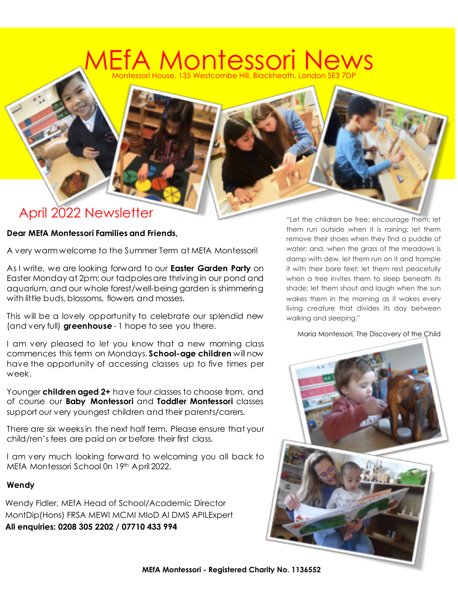## Montessori House, 135 Westcombe Hill, Blackheath, Londo fA Montessori Ne

### April 2022 Newsletter

#### **Dear MEfA Montessori Families and Friends,**

A very warm welcome to the Summer Term at MEfA Montessori!

As I write, we are looking forward to our **Easter Garden Party** on Easter Monday at 2pm; our tadpoles are thriving in our pond and aquarium, and our whole forest/well-being garden is shimmering with little buds, blossoms, flowers and mosses.

This will be a lovely opportunity to celebrate our splendid new (and very full) **greenhouse** - 1 hope to see you there.

I am very pleased to let you know that a new morning class commences this term on Mondays. **School-age children** will now have the opportunity of accessing classes up to five times per week.

Younger **children aged 2+** have four classes to choose from, and of course our **Baby Montessori** and **Toddler Montessori** classes support our very youngest children and their parents/carers.

There are six weeks in the next half term. Please ensure that your child/ren's fees are paid on or before their first class.

I am very much looking forward to welcoming you all back to MEfA Montessori School 0n 19<sup>th</sup> April 2022.

#### **Wendy**

Wendy Fidler, MEfA Head of School/Academic Director MontDip(Hons) FRSA MEWI MCMI MIoD AI DMS APILExpert **All enquiries: 0208 305 2202 / 07710 433 994**

"Let the children be free; encourage them; let them run outside when it is raining; let them remove their shoes when they find a puddle of water; and, when the grass of the meadows is damp with dew, let them run on it and trample it with their bare feet; let them rest peacefully when a tree invites them to sleep beneath its shade; let them shout and laugh when the sun wakes them in the morning as it wakes every living creature that divides its day between walking and sleeping."

Maria Montessori, The Discovery of the Child

**MEfA Montessori - Registered Charity No. 1136552**